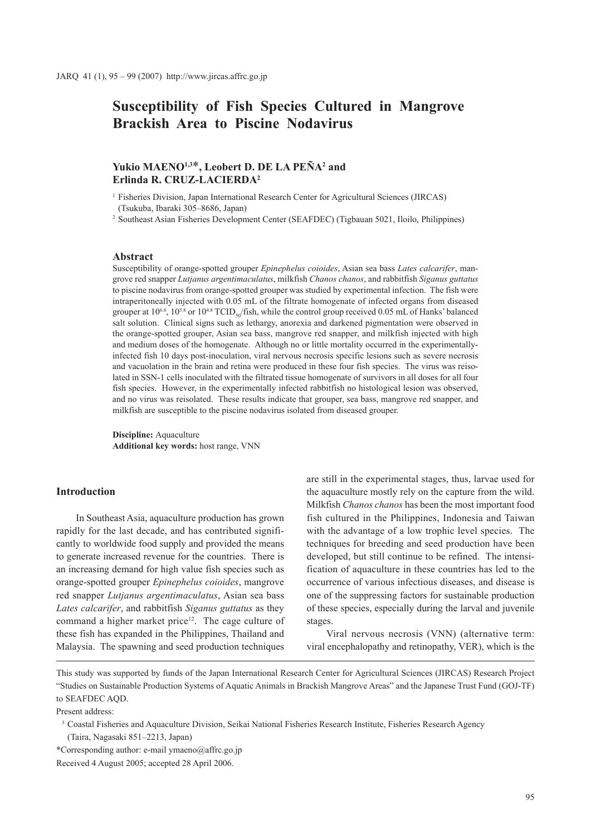# **Susceptibility of Fish Species Cultured in Mangrove Brackish Area to Piscine Nodavirus**

# **Yukio MAENO1,3**\***, Leobert D. DE LA PEÑA2 and Erlinda R. CRUZ-LACIERDA2**

<sup>1</sup> Fisheries Division, Japan International Research Center for Agricultural Sciences (JIRCAS) (Tsukuba, Ibaraki 305–8686, Japan)

2 Southeast Asian Fisheries Development Center (SEAFDEC) (Tigbauan 5021, Iloilo, Philippines)

# **Abstract**

Susceptibility of orange-spotted grouper *Epinephelus coioides*, Asian sea bass *Lates calcarifer*, mangrove red snapper *Lutjanus argentimaculatus*, milkfish *Chanos chanos*, and rabbitfish *Siganus guttatus* to piscine nodavirus from orange-spotted grouper was studied by experimental infection. The fish were intraperitoneally injected with 0.05 mL of the filtrate homogenate of infected organs from diseased grouper at  $10^{6.8}$ ,  $10^{5.8}$  or  $10^{4.8}$  TCID<sub>so</sub>/fish, while the control group received 0.05 mL of Hanks' balanced salt solution. Clinical signs such as lethargy, anorexia and darkened pigmentation were observed in the orange-spotted grouper, Asian sea bass, mangrove red snapper, and milkfish injected with high and medium doses of the homogenate. Although no or little mortality occurred in the experimentallyinfected fish 10 days post-inoculation, viral nervous necrosis specific lesions such as severe necrosis and vacuolation in the brain and retina were produced in these four fish species. The virus was reisolated in SSN-1 cells inoculated with the filtrated tissue homogenate of survivors in all doses for all four fish species. However, in the experimentally infected rabbitfish no histological lesion was observed, and no virus was reisolated. These results indicate that grouper, sea bass, mangrove red snapper, and milkfish are susceptible to the piscine nodavirus isolated from diseased grouper.

**Discipline:** Aquaculture **Additional key words:** host range, VNN

# **Introduction**

In Southeast Asia, aquaculture production has grown rapidly for the last decade, and has contributed significantly to worldwide food supply and provided the means to generate increased revenue for the countries. There is an increasing demand for high value fish species such as orange-spotted grouper *Epinephelus coioides*, mangrove red snapper *Lutjanus argentimaculatus*, Asian sea bass *Lates calcarifer*, and rabbitfish *Siganus guttatus* as they command a higher market price<sup>12</sup>. The cage culture of these fish has expanded in the Philippines, Thailand and Malaysia. The spawning and seed production techniques

are still in the experimental stages, thus, larvae used for the aquaculture mostly rely on the capture from the wild. Milkfish *Chanos chanos* has been the most important food fish cultured in the Philippines, Indonesia and Taiwan with the advantage of a low trophic level species. The techniques for breeding and seed production have been developed, but still continue to be refined. The intensification of aquaculture in these countries has led to the occurrence of various infectious diseases, and disease is one of the suppressing factors for sustainable production of these species, especially during the larval and juvenile stages.

Viral nervous necrosis (VNN) (alternative term: viral encephalopathy and retinopathy, VER), which is the

This study was supported by funds of the Japan International Research Center for Agricultural Sciences (JIRCAS) Research Project "Studies on Sustainable Production Systems of Aquatic Animals in Brackish Mangrove Areas" and the Japanese Trust Fund (GOJ-TF) to SEAFDEC AQD.

Present address:

<sup>3</sup> Coastal Fisheries and Aquaculture Division, Seikai National Fisheries Research Institute, Fisheries Research Agency

(Taira, Nagasaki 851–2213, Japan)

\*Corresponding author: e-mail ymaeno@affrc.go.jp

Received 4 August 2005; accepted 28 April 2006.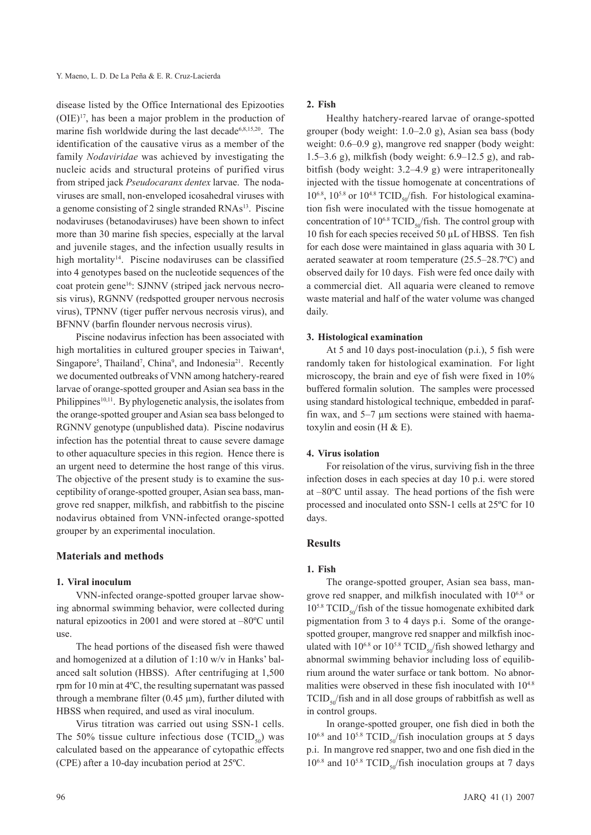disease listed by the Office International des Epizooties (OIE)17, has been a major problem in the production of marine fish worldwide during the last decade<sup>6,8,15,20</sup>. The identification of the causative virus as a member of the family *Nodaviridae* was achieved by investigating the nucleic acids and structural proteins of purified virus from striped jack *Pseudocaranx dentex* larvae. The nodaviruses are small, non-enveloped icosahedral viruses with a genome consisting of 2 single stranded RNAs<sup>13</sup>. Piscine nodaviruses (betanodaviruses) have been shown to infect more than 30 marine fish species, especially at the larval and juvenile stages, and the infection usually results in high mortality<sup>14</sup>. Piscine nodaviruses can be classified into 4 genotypes based on the nucleotide sequences of the coat protein gene<sup>16</sup>: SJNNV (striped jack nervous necrosis virus), RGNNV (redspotted grouper nervous necrosis virus), TPNNV (tiger puffer nervous necrosis virus), and BFNNV (barfin flounder nervous necrosis virus).

Piscine nodavirus infection has been associated with high mortalities in cultured grouper species in Taiwan<sup>4</sup>, Singapore<sup>5</sup>, Thailand<sup>7</sup>, China<sup>9</sup>, and Indonesia<sup>21</sup>. Recently we documented outbreaks of VNN among hatchery-reared larvae of orange-spotted grouper and Asian sea bass in the Philippines<sup>10,11</sup>. By phylogenetic analysis, the isolates from the orange-spotted grouper and Asian sea bass belonged to RGNNV genotype (unpublished data). Piscine nodavirus infection has the potential threat to cause severe damage to other aquaculture species in this region. Hence there is an urgent need to determine the host range of this virus. The objective of the present study is to examine the susceptibility of orange-spotted grouper,Asian sea bass, mangrove red snapper, milkfish, and rabbitfish to the piscine nodavirus obtained from VNN-infected orange-spotted grouper by an experimental inoculation.

### **Materials and methods**

# **1. Viral inoculum**

VNN-infected orange-spotted grouper larvae showing abnormal swimming behavior, were collected during natural epizootics in 2001 and were stored at –80ºC until use.

The head portions of the diseased fish were thawed and homogenized at a dilution of 1:10 w/v in Hanks' balanced salt solution (HBSS). After centrifuging at 1,500 rpm for 10 min at 4ºC, the resulting supernatant was passed through a membrane filter  $(0.45 \mu m)$ , further diluted with HBSS when required, and used as viral inoculum.

Virus titration was carried out using SSN-1 cells. The 50% tissue culture infectious dose  $(TCID<sub>50</sub>)$  was calculated based on the appearance of cytopathic effects (CPE) after a 10-day incubation period at 25ºC.

# **2. Fish**

Healthy hatchery-reared larvae of orange-spotted grouper (body weight: 1.0–2.0 g), Asian sea bass (body weight: 0.6–0.9 g), mangrove red snapper (body weight: 1.5–3.6 g), milkfish (body weight: 6.9–12.5 g), and rabbitfish (body weight: 3.2–4.9 g) were intraperitoneally injected with the tissue homogenate at concentrations of  $10^{6.8}$ ,  $10^{5.8}$  or  $10^{4.8}$  TCID<sub>50</sub>/fish. For histological examination fish were inoculated with the tissue homogenate at concentration of  $10^{6.8}$  TCID<sub>50</sub>/fish. The control group with 10 fish for each species received 50 µL of HBSS. Ten fish for each dose were maintained in glass aquaria with 30 L aerated seawater at room temperature (25.5–28.7ºC) and observed daily for 10 days. Fish were fed once daily with a commercial diet. All aquaria were cleaned to remove waste material and half of the water volume was changed daily.

#### **3. Histological examination**

At 5 and 10 days post-inoculation (p.i.), 5 fish were randomly taken for histological examination. For light microscopy, the brain and eye of fish were fixed in 10% buffered formalin solution. The samples were processed using standard histological technique, embedded in paraffin wax, and 5–7 µm sections were stained with haematoxylin and eosin ( $H & E$ ).

#### **4. Virus isolation**

For reisolation of the virus, surviving fish in the three infection doses in each species at day 10 p.i. were stored at –80ºC until assay. The head portions of the fish were processed and inoculated onto SSN-1 cells at 25ºC for 10 days.

# **Results**

#### **1. Fish**

The orange-spotted grouper, Asian sea bass, mangrove red snapper, and milkfish inoculated with 106.8 or  $10^{5.8}$  TCID<sub>50</sub>/fish of the tissue homogenate exhibited dark pigmentation from 3 to 4 days p.i. Some of the orangespotted grouper, mangrove red snapper and milkfish inoculated with  $10^{6.8}$  or  $10^{5.8}$  TCID<sub>50</sub>/fish showed lethargy and abnormal swimming behavior including loss of equilibrium around the water surface or tank bottom. No abnormalities were observed in these fish inoculated with  $10^{4.8}$  $TCID<sub>50</sub>/fish$  and in all dose groups of rabbitfish as well as in control groups.

In orange-spotted grouper, one fish died in both the  $10^{6.8}$  and  $10^{5.8}$  TCID<sub>50</sub>/fish inoculation groups at 5 days p.i. In mangrove red snapper, two and one fish died in the  $10^{6.8}$  and  $10^{5.8}$  TCID<sub>50</sub>/fish inoculation groups at 7 days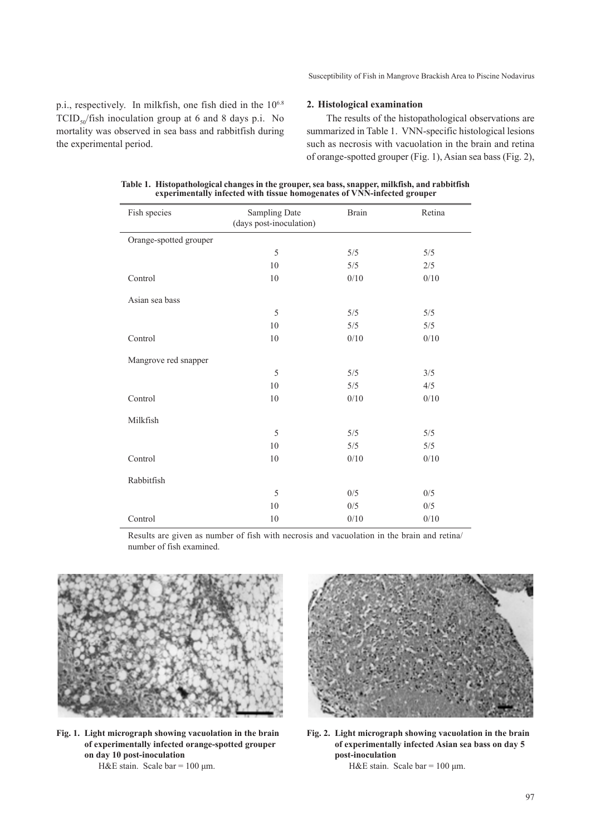Susceptibility of Fish in Mangrove Brackish Area to Piscine Nodavirus

p.i., respectively. In milkfish, one fish died in the 10<sup>6.8</sup>  $TCID_{50}/fish$  inoculation group at 6 and 8 days p.i. No mortality was observed in sea bass and rabbitfish during the experimental period.

# **2. Histological examination**

The results of the histopathological observations are summarized in Table 1. VNN-specific histological lesions such as necrosis with vacuolation in the brain and retina of orange-spotted grouper (Fig. 1), Asian sea bass (Fig. 2),

| Fish species           | Sampling Date<br>(days post-inoculation) | Brain  | Retina |
|------------------------|------------------------------------------|--------|--------|
| Orange-spotted grouper |                                          |        |        |
|                        | 5                                        | 5/5    | 5/5    |
|                        | 10                                       | 5/5    | 2/5    |
| Control                | 10                                       | 0/10   | 0/10   |
| Asian sea bass         |                                          |        |        |
|                        | 5                                        | 5/5    | 5/5    |
|                        | 10                                       | 5/5    | 5/5    |
| Control                | $10\,$                                   | $0/10$ | $0/10$ |
| Mangrove red snapper   |                                          |        |        |
|                        | 5                                        | 5/5    | 3/5    |
|                        | 10                                       | 5/5    | 4/5    |
| Control                | 10                                       | $0/10$ | $0/10$ |
| Milkfish               |                                          |        |        |
|                        | 5                                        | 5/5    | 5/5    |
|                        | 10                                       | 5/5    | 5/5    |
| Control                | 10                                       | $0/10$ | $0/10$ |
| Rabbitfish             |                                          |        |        |
|                        | 5                                        | 0/5    | 0/5    |
|                        | 10                                       | 0/5    | 0/5    |
| Control                | 10                                       | $0/10$ | $0/10$ |

**Table 1. Histopathological changes in the grouper, sea bass, snapper, milkfish, and rabbitfish experimentally infected with tissue homogenates of VNN-infected grouper**

Results are given as number of fish with necrosis and vacuolation in the brain and retina/ number of fish examined.



**Fig. 1. Light micrograph showing vacuolation in the brain of experimentally infected orange-spotted grouper on day 10 post-inoculation** H&E stain. Scale bar =  $100 \mu m$ .



**Fig. 2. Light micrograph showing vacuolation in the brain of experimentally infected Asian sea bass on day 5 post-inoculation**

H&E stain. Scale bar =  $100 \mu$ m.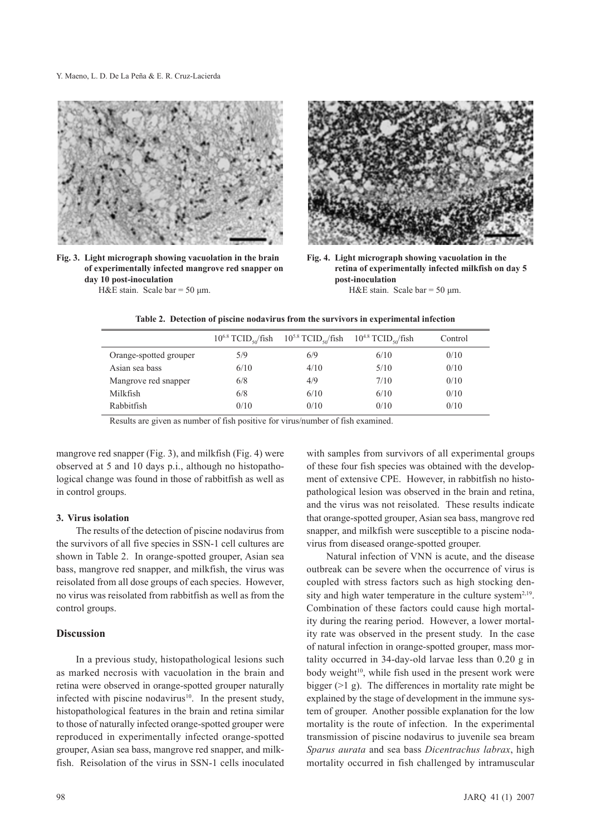Y. Maeno, L. D. De La Peña & E. R. Cruz-Lacierda



**Fig. 3. Light micrograph showing vacuolation in the brain of experimentally infected mangrove red snapper on day 10 post-inoculation**





**Fig. 4. Light micrograph showing vacuolation in the retina of experimentally infected milkfish on day 5 post-inoculation**

H&E stain. Scale bar =  $50 \text{ µm}$ .

|  |  |  | Table 2. Detection of piscine nodavirus from the survivors in experimental infection |  |
|--|--|--|--------------------------------------------------------------------------------------|--|
|  |  |  |                                                                                      |  |

|                        | $10^{6.8}$ TCID <sub>so</sub> /fish | $10^{5.8}$ TCID <sub>so</sub> /fish | $10^{4.8}$ TCID <sub>so</sub> /fish | Control |
|------------------------|-------------------------------------|-------------------------------------|-------------------------------------|---------|
| Orange-spotted grouper | 5/9                                 | 6/9                                 | 6/10                                | 0/10    |
| Asian sea bass         | 6/10                                | 4/10                                | 5/10                                | 0/10    |
| Mangrove red snapper   | 6/8                                 | 4/9                                 | 7/10                                | 0/10    |
| Milkfish               | 6/8                                 | 6/10                                | 6/10                                | 0/10    |
| Rabbitfish             | 0/10                                | 0/10                                | 0/10                                | 0/10    |

Results are given as number of fish positive for virus/number of fish examined.

mangrove red snapper (Fig. 3), and milkfish (Fig. 4) were observed at 5 and 10 days p.i., although no histopathological change was found in those of rabbitfish as well as in control groups.

# **3. Virus isolation**

The results of the detection of piscine nodavirus from the survivors of all five species in SSN-1 cell cultures are shown in Table 2. In orange-spotted grouper, Asian sea bass, mangrove red snapper, and milkfish, the virus was reisolated from all dose groups of each species. However, no virus was reisolated from rabbitfish as well as from the control groups.

# **Discussion**

In a previous study, histopathological lesions such as marked necrosis with vacuolation in the brain and retina were observed in orange-spotted grouper naturally infected with piscine nodavirus $10$ . In the present study, histopathological features in the brain and retina similar to those of naturally infected orange-spotted grouper were reproduced in experimentally infected orange-spotted grouper, Asian sea bass, mangrove red snapper, and milkfish. Reisolation of the virus in SSN-1 cells inoculated with samples from survivors of all experimental groups of these four fish species was obtained with the development of extensive CPE. However, in rabbitfish no histopathological lesion was observed in the brain and retina, and the virus was not reisolated. These results indicate that orange-spotted grouper, Asian sea bass, mangrove red snapper, and milkfish were susceptible to a piscine nodavirus from diseased orange-spotted grouper.

Natural infection of VNN is acute, and the disease outbreak can be severe when the occurrence of virus is coupled with stress factors such as high stocking density and high water temperature in the culture system<sup>2,19</sup>. Combination of these factors could cause high mortality during the rearing period. However, a lower mortality rate was observed in the present study. In the case of natural infection in orange-spotted grouper, mass mortality occurred in 34-day-old larvae less than 0.20 g in body weight $10$ , while fish used in the present work were bigger  $(>1 \text{ g})$ . The differences in mortality rate might be explained by the stage of development in the immune system of grouper. Another possible explanation for the low mortality is the route of infection. In the experimental transmission of piscine nodavirus to juvenile sea bream *Sparus aurata* and sea bass *Dicentrachus labrax*, high mortality occurred in fish challenged by intramuscular